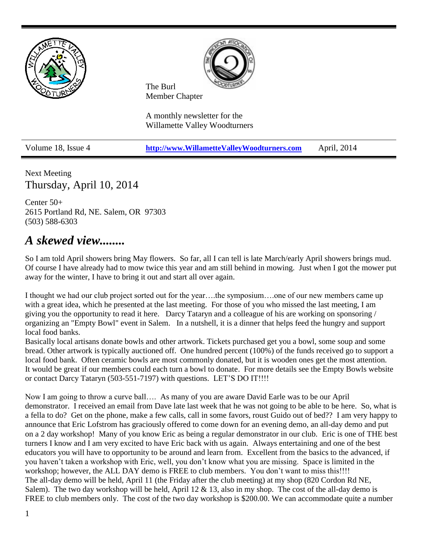

Next Meeting Thursday, April 10, 2014

Center 50+ 2615 Portland Rd, NE. Salem, OR 97303 (503) 588-6303

## *A skewed view........*

So I am told April showers bring May flowers. So far, all I can tell is late March/early April showers brings mud. Of course I have already had to mow twice this year and am still behind in mowing. Just when I got the mower put away for the winter, I have to bring it out and start all over again.

I thought we had our club project sorted out for the year….the symposium….one of our new members came up with a great idea, which he presented at the last meeting. For those of you who missed the last meeting, I am giving you the opportunity to read it here. Darcy Tataryn and a colleague of his are working on sponsoring / organizing an "Empty Bowl" event in Salem. In a nutshell, it is a dinner that helps feed the hungry and support local food banks.

Basically local artisans donate bowls and other artwork. Tickets purchased get you a bowl, some soup and some bread. Other artwork is typically auctioned off. One hundred percent (100%) of the funds received go to support a local food bank. Often ceramic bowls are most commonly donated, but it is wooden ones get the most attention. It would be great if our members could each turn a bowl to donate. For more details see the Empty Bowls website or contact Darcy Tataryn (503-551-7197) with questions. LET'S DO IT!!!!

Now I am going to throw a curve ball…. As many of you are aware David Earle was to be our April demonstrator. I received an email from Dave late last week that he was not going to be able to be here. So, what is a fella to do? Get on the phone, make a few calls, call in some favors, roust Guido out of bed?? I am very happy to announce that Eric Lofstrom has graciously offered to come down for an evening demo, an all-day demo and put on a 2 day workshop! Many of you know Eric as being a regular demonstrator in our club. Eric is one of THE best turners I know and I am very excited to have Eric back with us again. Always entertaining and one of the best educators you will have to opportunity to be around and learn from. Excellent from the basics to the advanced, if you haven't taken a workshop with Eric, well, you don't know what you are missing. Space is limited in the workshop; however, the ALL DAY demo is FREE to club members. You don't want to miss this!!!! The all-day demo will be held, April 11 (the Friday after the club meeting) at my shop (820 Cordon Rd NE, Salem). The two day workshop will be held, April 12  $\&$  13, also in my shop. The cost of the all-day demo is FREE to club members only. The cost of the two day workshop is \$200.00. We can accommodate quite a number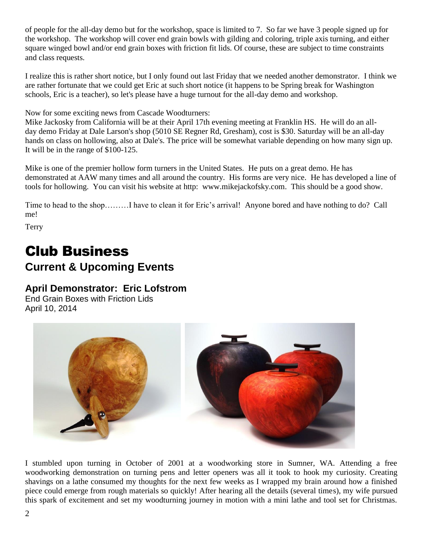of people for the all-day demo but for the workshop, space is limited to 7. So far we have 3 people signed up for the workshop. The workshop will cover end grain bowls with gilding and coloring, triple axis turning, and either square winged bowl and/or end grain boxes with friction fit lids. Of course, these are subject to time constraints and class requests.

I realize this is rather short notice, but I only found out last Friday that we needed another demonstrator. I think we are rather fortunate that we could get Eric at such short notice (it happens to be Spring break for Washington schools, Eric is a teacher), so let's please have a huge turnout for the all-day demo and workshop.

Now for some exciting news from Cascade Woodturners:

Mike Jackosky from California will be at their April 17th evening meeting at Franklin HS. He will do an allday demo Friday at Dale Larson's shop (5010 SE Regner Rd, Gresham), cost is \$30. Saturday will be an all-day hands on class on hollowing, also at Dale's. The price will be somewhat variable depending on how many sign up. It will be in the range of \$100-125.

Mike is one of the premier hollow form turners in the United States. He puts on a great demo. He has demonstrated at AAW many times and all around the country. His forms are very nice. He has developed a line of tools for hollowing. You can visit his website at http: [www.mikejackofsky.com.](http://www.mikejackofsky.com/) This should be a good show.

Time to head to the shop………I have to clean it for Eric's arrival! Anyone bored and have nothing to do? Call me!

Terry

# Club Business **Current & Upcoming Events**

### **April Demonstrator: Eric Lofstrom**

End Grain Boxes with Friction Lids April 10, 2014



I stumbled upon turning in October of 2001 at a woodworking store in Sumner, WA. Attending a free woodworking demonstration on turning pens and letter openers was all it took to hook my curiosity. Creating shavings on a lathe consumed my thoughts for the next few weeks as I wrapped my brain around how a finished piece could emerge from rough materials so quickly! After hearing all the details (several times), my wife pursued this spark of excitement and set my woodturning journey in motion with a mini lathe and tool set for Christmas.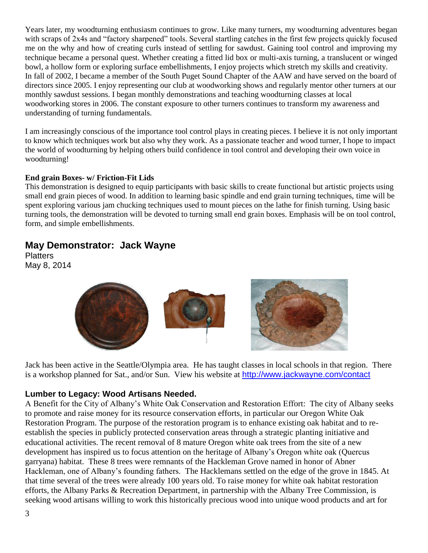Years later, my woodturning enthusiasm continues to grow. Like many turners, my woodturning adventures began with scraps of 2x4s and "factory sharpened" tools. Several startling catches in the first few projects quickly focused me on the why and how of creating curls instead of settling for sawdust. Gaining tool control and improving my technique became a personal quest. Whether creating a fitted lid box or multi-axis turning, a translucent or winged bowl, a hollow form or exploring surface embellishments, I enjoy projects which stretch my skills and creativity. In fall of 2002, I became a member of the South Puget Sound Chapter of the AAW and have served on the board of directors since 2005. I enjoy representing our club at woodworking shows and regularly mentor other turners at our monthly sawdust sessions. I began monthly demonstrations and teaching woodturning classes at local woodworking stores in 2006. The constant exposure to other turners continues to transform my awareness and understanding of turning fundamentals.

I am increasingly conscious of the importance tool control plays in creating pieces. I believe it is not only important to know which techniques work but also why they work. As a passionate teacher and wood turner, I hope to impact the world of woodturning by helping others build confidence in tool control and developing their own voice in woodturning!

#### **End grain Boxes- w/ Friction-Fit Lids**

This demonstration is designed to equip participants with basic skills to create functional but artistic projects using small end grain pieces of wood. In addition to learning basic spindle and end grain turning techniques, time will be spent exploring various jam chucking techniques used to mount pieces on the lathe for finish turning. Using basic turning tools, the demonstration will be devoted to turning small end grain boxes. Emphasis will be on tool control, form, and simple embellishments.

### **May Demonstrator: Jack Wayne**

**Platters** May 8, 2014



Jack has been active in the Seattle/Olympia area. He has taught classes in local schools in that region. There is a workshop planned for Sat., and/or Sun. View his website at <http://www.jackwayne.com/contact>

#### **Lumber to Legacy: Wood Artisans Needed.**

A Benefit for the City of Albany's White Oak Conservation and Restoration Effort: The city of Albany seeks to promote and raise money for its resource conservation efforts, in particular our Oregon White Oak Restoration Program. The purpose of the restoration program is to enhance existing oak habitat and to reestablish the species in publicly protected conservation areas through a strategic planting initiative and educational activities. The recent removal of 8 mature Oregon white oak trees from the site of a new development has inspired us to focus attention on the heritage of Albany's Oregon white oak (Quercus garryana) habitat. These 8 trees were remnants of the Hackleman Grove named in honor of Abner Hackleman, one of Albany's founding fathers. The Hacklemans settled on the edge of the grove in 1845. At that time several of the trees were already 100 years old. To raise money for white oak habitat restoration efforts, the Albany Parks & Recreation Department, in partnership with the Albany Tree Commission, is seeking wood artisans willing to work this historically precious wood into unique wood products and art for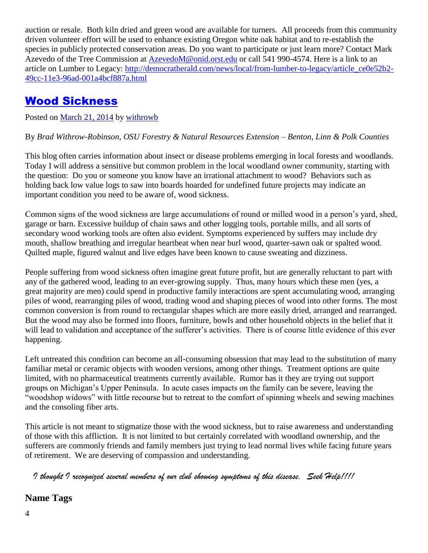auction or resale. Both kiln dried and green wood are available for turners. All proceeds from this community driven volunteer effort will be used to enhance existing Oregon white oak habitat and to re-establish the species in publicly protected conservation areas. Do you want to participate or just learn more? Contact Mark Azevedo of the Tree Commission at [AzevedoM@onid.orst.edu](mailto:AzevedoM@onid.orst.edu) or call 541 990-4574. Here is a link to an article on Lumber to Legacy: [http://democratherald.com/news/local/from-lumber-to-legacy/article\\_ce0e52b2-](http://democratherald.com/news/local/from-lumber-to-legacy/article_ce0e52b2-49cc-11e3-96ad-001a4bcf887a.html) [49cc-11e3-96ad-001a4bcf887a.html](http://democratherald.com/news/local/from-lumber-to-legacy/article_ce0e52b2-49cc-11e3-96ad-001a4bcf887a.html)

## Wood Sickness

Posted on [March 21, 2014](http://blogs.oregonstate.edu/treetopics/2014/03/21/wood-sickness/) by [withrowb](http://blogs.oregonstate.edu/treetopics/author/withrowb/)

By *Brad Withrow-Robinson, OSU Forestry & Natural Resources Extension – Benton, Linn & Polk Counties*

This blog often carries information about insect or disease problems emerging in local forests and woodlands. Today I will address a sensitive but common problem in the local woodland owner community, starting with the question: Do you or someone you know have an irrational attachment to wood? Behaviors such as holding back low value logs to saw into boards hoarded for undefined future projects may indicate an important condition you need to be aware of, wood sickness.

Common signs of the wood sickness are large accumulations of round or milled wood in a person's yard, shed, garage or barn. Excessive buildup of chain saws and other logging tools, portable mills, and all sorts of secondary wood working tools are often also evident. Symptoms experienced by suffers may include dry mouth, shallow breathing and irregular heartbeat when near burl wood, quarter-sawn oak or spalted wood. Quilted maple, figured walnut and live edges have been known to cause sweating and dizziness.

People suffering from wood sickness often imagine great future profit, but are generally reluctant to part with any of the gathered wood, leading to an ever-growing supply. Thus, many hours which these men (yes, a great majority are men) could spend in productive family interactions are spent accumulating wood, arranging piles of wood, rearranging piles of wood, trading wood and shaping pieces of wood into other forms. The most common conversion is from round to rectangular shapes which are more easily dried, arranged and rearranged. But the wood may also be formed into floors, furniture, bowls and other household objects in the belief that it will lead to validation and acceptance of the sufferer's activities. There is of course little evidence of this ever happening.

Left untreated this condition can become an all-consuming obsession that may lead to the substitution of many familiar metal or ceramic objects with wooden versions, among other things. Treatment options are quite limited, with no pharmaceutical treatments currently available. Rumor has it they are trying out support groups on Michigan's Upper Peninsula. In acute cases impacts on the family can be severe, leaving the "woodshop widows" with little recourse but to retreat to the comfort of spinning wheels and sewing machines and the consoling fiber arts.

This article is not meant to stigmatize those with the wood sickness, but to raise awareness and understanding of those with this affliction. It is not limited to but certainly correlated with woodland ownership, and the sufferers are commonly friends and family members just trying to lead normal lives while facing future years of retirement. We are deserving of compassion and understanding.

 *I thought I recognized several members of our club showing symptoms of this disease. Seek Help!!!!*

**Name Tags**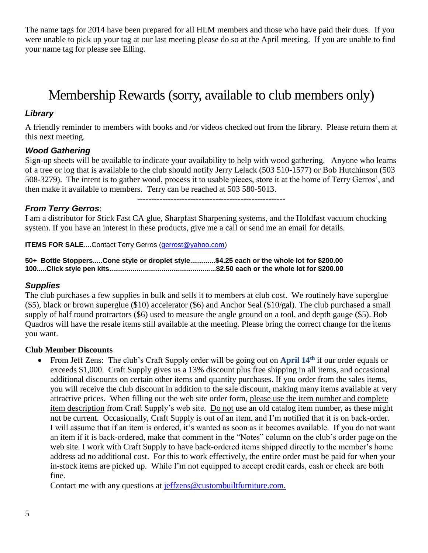The name tags for 2014 have been prepared for all HLM members and those who have paid their dues. If you were unable to pick up your tag at our last meeting please do so at the April meeting. If you are unable to find your name tag for please see Elling.

# Membership Rewards (sorry, available to club members only)

#### *Library*

A friendly reminder to members with books and /or videos checked out from the library. Please return them at this next meeting.

#### *Wood Gathering*

Sign-up sheets will be available to indicate your availability to help with wood gathering. Anyone who learns of a tree or log that is available to the club should notify Jerry Lelack (503 510-1577) or Bob Hutchinson (503 508-3279). The intent is to gather wood, process it to usable pieces, store it at the home of Terry Gerros', and then make it available to members. Terry can be reached at 503 580-5013.

-----------------------------------------------------

#### *From Terry Gerros*:

I am a distributor for Stick Fast CA glue, Sharpfast Sharpening systems, and the Holdfast vacuum chucking system. If you have an interest in these products, give me a call or send me an email for details.

**ITEMS FOR SALE....Contact Terry Gerros [\(gerrost@yahoo.com\)](mailto:gerrost@yahoo.com)** 

**50+ Bottle Stoppers.....Cone style or droplet style.............\$4.25 each or the whole lot for \$200.00 100.....Click style pen kits.......................................................\$2.50 each or the whole lot for \$200.00**

#### *Supplies*

The club purchases a few supplies in bulk and sells it to members at club cost. We routinely have superglue (\$5), black or brown superglue (\$10) accelerator (\$6) and Anchor Seal (\$10/gal). The club purchased a small supply of half round protractors (\$6) used to measure the angle ground on a tool, and depth gauge (\$5). Bob Quadros will have the resale items still available at the meeting. Please bring the correct change for the items you want.

#### **Club Member Discounts**

 From Jeff Zens: The club's Craft Supply order will be going out on **April 14th** if our order equals or exceeds \$1,000. Craft Supply gives us a 13% discount plus free shipping in all items, and occasional additional discounts on certain other items and quantity purchases. If you order from the sales items, you will receive the club discount in addition to the sale discount, making many items available at very attractive prices. When filling out the web site order form, please use the item number and complete item description from Craft Supply's web site. Do not use an old catalog item number, as these might not be current. Occasionally, Craft Supply is out of an item, and I'm notified that it is on back-order. I will assume that if an item is ordered, it's wanted as soon as it becomes available. If you do not want an item if it is back-ordered, make that comment in the "Notes" column on the club's order page on the web site. I work with Craft Supply to have back-ordered items shipped directly to the member's home address ad no additional cost. For this to work effectively, the entire order must be paid for when your in-stock items are picked up. While I'm not equipped to accept credit cards, cash or check are both fine.

Contact me with any questions at [jeffzens@custombuiltfurniture.com.](mailto:jeffzens@custombuiltfurniture.com.)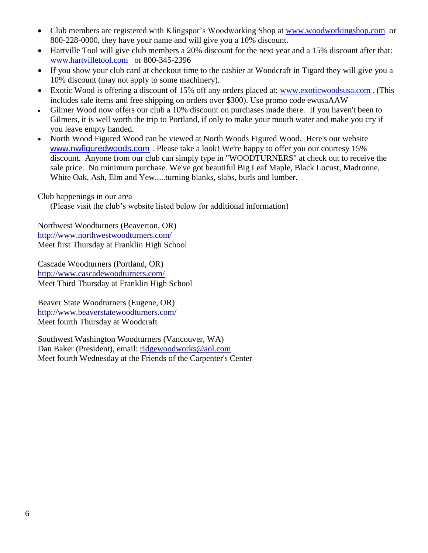- Club members are registered with Klingspor's Woodworking Shop at [www.woodworkingshop.com](http://www.woodworkingshop.com/) or 800-228-0000, they have your name and will give you a 10% discount.
- Hartville Tool will give club members a 20% discount for the next year and a 15% discount after that: [www.hartvilletool.com](http://www.hartvilletool.com/) or 800-345-2396
- If you show your club card at checkout time to the cashier at Woodcraft in Tigard they will give you a 10% discount (may not apply to some machinery).
- Exotic Wood is offering a discount of 15% off any orders placed at: [www.exoticwoodsusa.com](http://www.exoticwoodsusa.com/) . (This includes sale items and free shipping on orders over \$300). Use promo code ewusaAAW
- Gilmer Wood now offers our club a 10% discount on purchases made there. If you haven't been to Gilmers, it is well worth the trip to Portland, if only to make your mouth water and make you cry if you leave empty handed.
- North Wood Figured Wood can be viewed at North Woods Figured Wood. Here's our website [www.nwfiguredwoods.com](http://www.nwfiguredwoods.com/) . Please take a look! We're happy to offer you our courtesy 15% discount. Anyone from our club can simply type in "WOODTURNERS" at check out to receive the sale price. No minimum purchase. We've got beautiful Big Leaf Maple, Black Locust, Madronne, White Oak, Ash, Elm and Yew.....turning blanks, slabs, burls and lumber.

#### Club happenings in our area

(Please visit the club's website listed below for additional information)

Northwest Woodturners (Beaverton, OR) <http://www.northwestwoodturners.com/> Meet first Thursday at Franklin High School

Cascade Woodturners (Portland, OR) <http://www.cascadewoodturners.com/> Meet Third Thursday at Franklin High School

Beaver State Woodturners (Eugene, OR) <http://www.beaverstatewoodturners.com/> Meet fourth Thursday at Woodcraft

Southwest Washington Woodturners (Vancouver, WA) Dan Baker (President), email: [ridgewoodworks@aol.com](mailto:ridgewoodworks@aol.com) Meet fourth Wednesday at the Friends of the Carpenter's Center